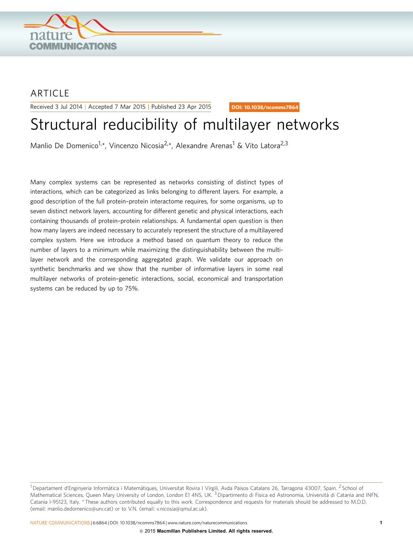

## **ARTICLE**

Received 3 Jul 2014 | Accepted 7 Mar 2015 | Published 23 Apr 2015

DOI: 10.1038/ncomms7864

# Structural reducibility of multilayer networks

Manlio De Domenico<sup>1,\*</sup>, Vincenzo Nicosia<sup>2,\*</sup>, Alexandre Arenas<sup>1</sup> & Vito Latora<sup>2,3</sup>

Many complex systems can be represented as networks consisting of distinct types of interactions, which can be categorized as links belonging to different layers. For example, a good description of the full protein–protein interactome requires, for some organisms, up to seven distinct network layers, accounting for different genetic and physical interactions, each containing thousands of protein–protein relationships. A fundamental open question is then how many layers are indeed necessary to accurately represent the structure of a multilayered complex system. Here we introduce a method based on quantum theory to reduce the number of layers to a minimum while maximizing the distinguishability between the multilayer network and the corresponding aggregated graph. We validate our approach on synthetic benchmarks and we show that the number of informative layers in some real multilayer networks of protein–genetic interactions, social, economical and transportation systems can be reduced by up to 75%.

<sup>&</sup>lt;sup>1</sup> Departament d'Enginyeria Informática i Matemátiques, Universitat Rovira I Virgili, Avda Paisos Catalans 26, Tarragona 43007, Spain. <sup>2</sup> School of Mathematical Sciences, Queen Mary University of London, London E1 4NS, UK.<sup>3</sup> Dipartimento di Fisica ed Astronomia, Università di Catania and INFN, Catania I-95123, Italy. \* These authors contributed equally to this work. Correspondence and requests for materials should be addressed to M.D.D. (email: [manlio.dedomenico@urv.cat](mailto:manlio.dedomenico@urv.cat)) or to V.N. (email: [v.nicosia@qmul.ac.uk\)](mailto:v.nicosia@qmul.ac.uk).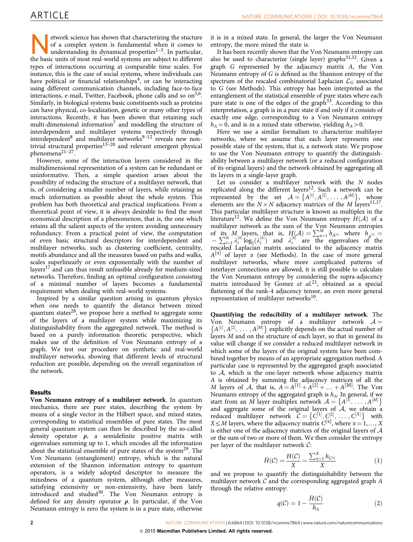etwork science has shown that characterizing the stucture<br>of a complex system is fundamental when it comes to<br>understanding its dynamical properties<sup>1–3</sup>. In particular,<br>the basic units of most real-world systems are subje of a complex system is fundamental when it comes to the basic units of most real-world systems are subject to different types of interactions occurring at comparable time scales. For instance, this is the case of social systems, where individuals can have political or financial relationships<sup>[4](#page-7-0)</sup>, or can be interacting using different communication channels, including face-to-face interactions, e-mail, Twitter, Facebook, phone calls and so  $\text{on}^{5,6}$ . Similarly, in biological systems basic constituents such as proteins can have physical, co-localization, genetic or many other types of interactions. Recently, it has been shown that retaining such multi-dimensional information<sup>[7](#page-7-0)</sup> and modelling the structure of interdependent and multilayer systems respectively through interdependent<sup>[8](#page-7-0)</sup> and multilayer networks<sup>9-12</sup> reveals new nontrivial structural properties $13-20$  and relevant emergent physical phenomena[21–27.](#page-7-0)

However, some of the interaction layers considered in the multidimensional representation of a system can be redundant or uninformative. Then, a simple question arises about the possibility of reducing the structure of a multilayer network, that is, of considering a smaller number of layers, while retaining as much information as possible about the whole system. This problem has both theoretical and practical implications. From a theoretical point of view, it is always desirable to find the most economical description of a phenomenon, that is, the one which retains all the salient aspects of the system avoiding unnecessary redundancy. From a practical point of view, the computation of even basic structural descriptors for interdependent and multilayer networks, such as clustering coefficient, centrality, motifs abundance and all the measures based on paths and walks, scales superlinearly or even exponentially with the number of layers $^{17}$  and can thus result unfeasible already for medium-sized networks. Therefore, finding an optimal configuration consisting of a minimal number of layers becomes a fundamental requirement when dealing with real-world systems.

Inspired by a similar question arising in quantum physics when one needs to quantify the distance between mixed quantum states $^{28}$  $^{28}$  $^{28}$ , we propose here a method to aggregate some of the layers of a multilayer system while maximizing its distinguishability from the aggregated network. The method is based on a purely information theoretic perspective, which makes use of the definition of Von Neumann entropy of a graph. We test our procedure on synthetic and real-world multilayer networks, showing that different levels of structural reduction are possible, depending on the overall organization of the network.

#### Results

Von Neumann entropy of a multilayer network. In quantum mechanics, there are pure states, describing the system by means of a single vector in the Hilbert space, and mixed states, corresponding to statistical ensembles of pure states. The most general quantum system can then be described by the so-called density operator  $\rho$ , a semidefinite positive matrix with eigenvalues summing up to 1, which encodes all the information about the statistical ensemble of pure states of the system $^{29}$ . The Von Neumann (entanglement) entropy, which is the natural extension of the Shannon information entropy to quantum operators, is a widely adopted descriptor to measure the mixedness of a quantum system, although other measures, satisfying extensivity or non-extensivity, have been lately introduced and studied<sup>[30](#page-8-0)</sup>. The Von Neumann entropy is defined for any density operator  $\rho$ . In particular, if the Von Neumann entropy is zero the system is in a pure state, otherwise

it is in a mixed state. In general, the larger the Von Neumann entropy, the more mixed the state is.

It has been recently shown that the Von Neumann entropy can also be used to characterize (single layer) graphs<sup>[31,32](#page-8-0)</sup>. Given a graph G represented by the adjacency matrix A, the Von Neumann entropy of G is defined as the Shannon entropy of the spectrum of the rescaled combinatorial Laplacian  $\mathcal{L}_G$  associated to G (see Methods). This entropy has been interpreted as the entanglement of the statistical ensemble of pure states where each pure state is one of the edges of the graph<sup>[33](#page-8-0)</sup>. According to this interpretation, a graph is in a pure state if and only if it consists of exactly one edge, corresponding to a Von Neumann entropy  $h_A = 0$ , and is in a mixed state otherwise, yielding  $h_A > 0$ .

Here we use a similar formalism to characterize multilayer networks, where we assume that each layer represents one possible state of the system, that is, a network state. We propose to use the Von Neumann entropy to quantify the distinguishability between a multilayer network (or a reduced configuration of its original layers) and the network obtained by aggregating all its layers in a single-layer graph.

Let us consider a multilayer network with the N nodes replicated along the different layers<sup>12</sup>. Such a network can be represented by the set  $A = \{A^{[1]}, A^{[2]}, \dots, A^{[M]}\},$  whose elements are the  $N \times N$  adjacency matrices of the M layers<sup>11,17</sup>. This particular multilayer structure is known as multiplex in the literature<sup>[12](#page-7-0)</sup>. We define the Von Neumann entropy  $H(A)$  of a multilayer network as the sum of the Von Neumann entropies of its M layers, that is,  $H(A) = \sum_{\alpha=1}^{M} h_{A^{|\alpha|}}$  where  $h_{A^{|\alpha|}} = -\sum_{i=1}^{N} \lambda_i^{[\alpha]} \log_2(\lambda_i^{[\alpha]})$  and  $\lambda_i^{[\alpha]}$  are the eigenvalues of the rescaled Laplacian matrix associated to the adjacency matrix  $A^{[\alpha]}$  of layer  $\alpha$  (see Methods). In the case of more general multilayer networks, where more complicated patterns of interlayer connections are allowed, it is still possible to calculate the Von Neumann entropy by considering the supra-adjacency matrix introduced by Gomez et  $al^{21}$  $al^{21}$  $al^{21}$ , obtained as a special flattening of the rank-4 adjacency tensor, an even more general representation of multilayer networks<sup>[10](#page-7-0)</sup>.

Quantifying the reducibility of a multilayer network. The Von Neumann entropy of a multilayer network  $A =$ Von Redmann entropy of a mutuayer network  $A = \{A^{[1]}, A^{[2]}, \dots, A^{[M]}\}$  explicitly depends on the actual number of layers  $M$  and on the structure of each layer, so that in general its value will change if we consider a reduced multilayer network in which some of the layers of the original system have been combined together by means of an appropriate aggregation method. A particular case is represented by the aggregated graph associated to A, which is the one-layer network whose adjacency matrix A is obtained by summing the adjacency matrices of all the M layers of A, that is,  $A = A^{[1]} + A^{[2]} + \dots + A^{[M]}$ . The Von Neumann entropy of the aggregated graph is  $h_A$ . In general, if we start from an *M* layer multiplex network  $A = \{A^{[1]}, \dots, A^{[M]}\}$ and aggregate some of the original layers of  $A$ , we obtain a reduced multilayer network  $C = \{C^{[1]}, C^{[2]}, \dots, C^{[X]}\}$  with  $X \leq M$  layers, where the adjacency matrix  $C^{[\alpha]}$ , where  $\alpha = 1, \ldots, X$ is either one of the adjacency matrices of the original layers of A or the sum of two or more of them. We then consider the entropy per layer of the multilayer network C:

$$
\bar{H}(\mathcal{C}) = \frac{H(\mathcal{C})}{X} = \frac{\sum_{\alpha=1}^{X} h_{C^{[\alpha]}}}{X}
$$
(1)

and we propose to quantify the distinguishability between the multilayer network  $C$  and the corresponding aggregated graph  $A$ through the relative entropy:

$$
q(\mathcal{C}) = 1 - \frac{\bar{H}(\mathcal{C})}{h_A} \tag{2}
$$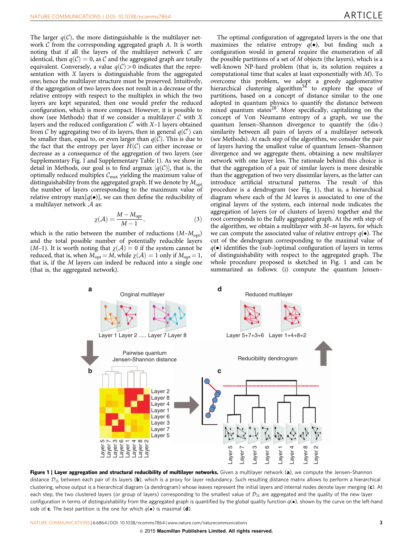The larger  $q(\mathcal{C})$ , the more distinguishable is the multilayer network  $\mathcal C$  from the corresponding aggregated graph  $A$ . It is worth noting that if all the layers of the multilayer network  $C$  are identical, then  $q(\mathcal{C}) = 0$ , as  $\mathcal C$  and the aggregated graph are totally equivalent. Conversely, a value  $q(\mathcal{C}) > 0$  indicates that the representation with X layers is distinguishable from the aggregated one; hence the multilayer structure must be preserved. Intuitively, if the aggregation of two layers does not result in a decrease of the relative entropy with respect to the multiplex in which the two layers are kept separated, then one would prefer the reduced configuration, which is more compact. However, it is possible to show (see Methods) that if we consider a multilayer  $\mathcal C$  with X layers and the reduced configuration  $C'$  with X–1 layers obtained from C by aggregating two of its layers, then in general  $q(C')$  can be smaller than, equal to, or even larger than  $q(\tilde{C})$ . This is due to the fact that the entropy per layer  $\overline{H}(\mathcal{C})$  can either increase or decrease as a consequence of the aggregation of two layers (see Supplementary Fig. 1 and Supplementary Table 1). As we show in detail in Methods, our goal is to find argmax  $[q(\mathcal{C})]$ , that is, the optimally reduced multiplex  $C_{\text{max}}$  yielding the maximum value of distinguishability from the aggregated graph. If we denote by  $M_{\text{opt}}$ the number of layers corresponding to the maximum value of relative entropy  $max[q(\bullet)]$ , we can then define the reducibility of a multilayer network A as:

$$
\chi(\mathcal{A}) = \frac{M - M_{\text{opt}}}{M - 1},\tag{3}
$$

which is the ratio between the number of reductions  $(M-M<sub>opt</sub>)$ and the total possible number of potentially reducible layers (*M*–1). It is worth noting that  $\chi(A) = 0$  if the system cannot be reduced, that is, when  $M_{\text{opt}} = M$ , while  $\chi(\mathcal{A}) = 1$  only if  $M_{\text{opt}} = 1$ , that is, if the M layers can indeed be reduced into a single one (that is, the aggregated network).

The optimal configuration of aggregated layers is the one that maximizes the relative entropy  $q(\bullet)$ , but finding such a configuration would in general require the enumeration of all the possible partitions of a set of  $M$  objects (the layers), which is a well-known NP-hard problem (that is, its solution requires a computational time that scales at least exponentially with M). To overcome this problem, we adopt a greedy agglomerative hierarchical clustering algorithm<sup>34</sup> to explore the space of partitions, based on a concept of distance similar to the one adopted in quantum physics to quantify the distance between mixed quantum states $28$ . More specifically, capitalizing on the concept of Von Neumann entropy of a graph, we use the quantum Jensen–Shannon divergence to quantify the (dis-) similarity between all pairs of layers of a multilayer network (see Methods). At each step of the algorithm, we consider the pair of layers having the smallest value of quantum Jensen–Shannon divergence and we aggregate them, obtaining a new multilayer network with one layer less. The rationale behind this choice is that the aggregation of a pair of similar layers is more desirable than the aggregation of two very dissimilar layers, as the latter can introduce artificial structural patterns. The result of this procedure is a dendrogram (see Fig. 1), that is, a hierarchical diagram where each of the M leaves is associated to one of the original layers of the system, each internal node indicates the aggregation of layers (or of clusters of layers) together and the root corresponds to the fully aggregated graph. At the mth step of the algorithm, we obtain a multilayer with  $M-m$  layers, for which we can compute the associated value of relative entropy  $q(\bullet)$ . The cut of the dendrogram corresponding to the maximal value of  $q(\bullet)$  identifies the (sub-)optimal configuration of layers in terms of distinguishability with respect to the aggregated graph. The whole procedure proposed is sketched in Fig. 1 and can be summarized as follows: (i) compute the quantum Jensen–



Figure 1 | Layer aggregation and structural reducibility of multilayer networks. Given a multilayer network (a), we compute the Jensen-Shannon distance  $\mathcal{D}_{JS}$  between each pair of its layers (b), which is a proxy for layer redundancy. Such resulting distance matrix allows to perform a hierarchical clustering, whose output is a hierarchical diagram (a dendrogram) whose leaves represent the initial layers and internal nodes denote layer merging (c). At each step, the two clustered layers (or group of layers) corresponding to the smallest value of  $\mathcal{D}_{JS}$  are aggregated and the quality of the new layer configuration in terms of distinguishability from the aggregated graph is quantified by the global quality function  $q(\bullet)$ , shown by the curve on the left-hand side of c. The best partition is the one for which  $q(\bullet)$  is maximal (d).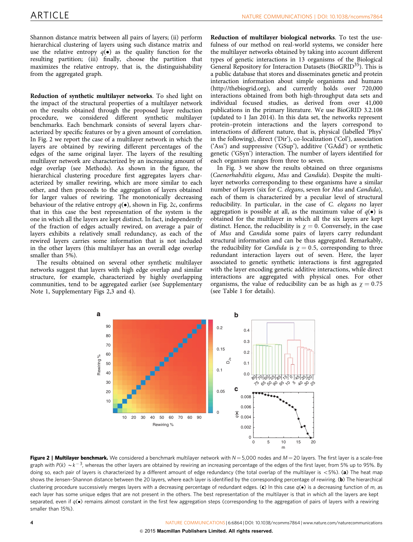Shannon distance matrix between all pairs of layers; (ii) perform hierarchical clustering of layers using such distance matrix and use the relative entropy  $q(\bullet)$  as the quality function for the resulting partition; (iii) finally, choose the partition that maximizes the relative entropy, that is, the distinguishability from the aggregated graph.

Reduction of synthetic multilayer networks. To shed light on the impact of the structural properties of a multilayer network on the results obtained through the proposed layer reduction procedure, we considered different synthetic multilayer benchmarks. Each benchmark consists of several layers characterized by specific features or by a given amount of correlation. In Fig. 2 we report the case of a multilayer network in which the layers are obtained by rewiring different percentages of the edges of the same original layer. The layers of the resulting multilayer network are characterized by an increasing amount of edge overlap (see Methods). As shown in the figure, the hierarchical clustering procedure first aggregates layers characterized by smaller rewiring, which are more similar to each other, and then proceeds to the aggregation of layers obtained for larger values of rewiring. The monotonically decreasing behaviour of the relative entropy  $q(\bullet)$ , shown in Fig. 2c, confirms that in this case the best representation of the system is the one in which all the layers are kept distinct. In fact, independently of the fraction of edges actually rewired, on average a pair of layers exhibits a relatively small redundancy, as each of the rewired layers carries some information that is not included in the other layers (this multilayer has an overall edge overlap smaller than 5%).

The results obtained on several other synthetic multilayer networks suggest that layers with high edge overlap and similar structure, for example, characterized by highly overlapping communities, tend to be aggregated earlier (see Supplementary Note 1, Supplementary Figs 2,3 and 4).

Reduction of multilayer biological networks. To test the usefulness of our method on real-world systems, we consider here the multilayer networks obtained by taking into account different types of genetic interactions in 13 organisms of the Biological General Repository for Interaction Datasets (BioGRID<sup>[35](#page-8-0)</sup>). This is a public database that stores and disseminates genetic and protein interaction information about simple organisms and humans (<http://thebiogrid.org>), and currently holds over 720,000 interactions obtained from both high-throughput data sets and individual focused studies, as derived from over 41,000 publications in the primary literature. We use BioGRID 3.2.108 (updated to 1 Jan 2014). In this data set, the networks represent protein–protein interactions and the layers correspond to interactions of different nature, that is, physical (labelled 'Phys' in the following), direct ('Dir'), co-localization ('Col'), association ('Ass') and suppressive ('GSup'), additive ('GAdd') or synthetic genetic ('GSyn') interaction. The number of layers identified for each organism ranges from three to seven.

In [Fig. 3](#page-4-0) we show the results obtained on three organisms (Caenorhabditis elegans, Mus and Candida). Despite the multilayer networks corresponding to these organisms have a similar number of layers (six for C. elegans, seven for Mus and Candida), each of them is characterized by a peculiar level of structural reducibility. In particular, in the case of C. elegans no layer aggregation is possible at all, as the maximum value of  $q(\bullet)$  is obtained for the multilayer in which all the six layers are kept distinct. Hence, the reducibility is  $\gamma = 0$ . Conversely, in the case of Mus and Candida some pairs of layers carry redundant structural information and can be thus aggregated. Remarkably, the reducibility for *Candida* is  $\gamma = 0.5$ , corresponding to three redundant interaction layers out of seven. Here, the layer associated to genetic synthetic interactions is first aggregated with the layer encoding genetic additive interactions, while direct interactions are aggregated with physical ones. For other organisms, the value of reducibility can be as high as  $\chi = 0.75$ (see [Table 1](#page-5-0) for details).



Figure 2 | Multilayer benchmark. We considered a benchmark multilayer network with  $N = 5,000$  nodes and  $M = 20$  layers. The first layer is a scale-free graph with  $P(k) \sim k^{-3}$ , whereas the other layers are obtained by rewiring an increasing percentage of the edges of the first layer, from 5% up to 95%. By doing so, each pair of layers is characterized by a different amount of edge redundancy (the total overlap of the multilayer is  $\langle 5\%$ ). (a) The heat map shows the Jensen-Shannon distance between the 20 layers, where each layer is identified by the corresponding percentage of rewiring. (b) The hierarchical clustering procedure successively merges layers with a decreasing percentage of redundant edges. (c) In this case  $q(\bullet)$  is a decreasing function of m, as each layer has some unique edges that are not present in the others. The best representation of the multilayer is that in which all the layers are kept separated, even if  $q(\bullet)$  remains almost constant in the first few aggregation steps (corresponding to the aggregation of pairs of layers with a rewiring smaller than 15%).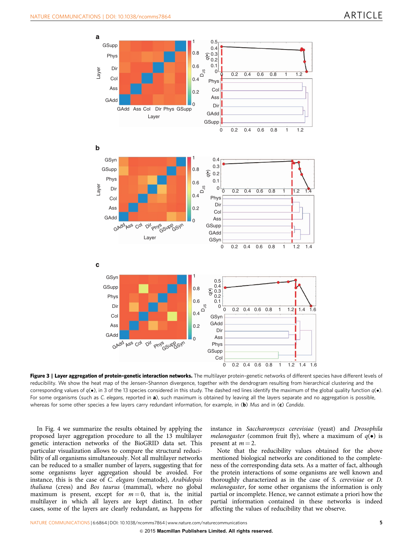<span id="page-4-0"></span>

Figure 3 | Layer aggregation of protein-genetic interaction networks. The multilayer protein-genetic networks of different species have different levels of reducibility. We show the heat map of the Jensen–Shannon divergence, together with the dendrogram resulting from hierarchical clustering and the corresponding values of  $q(\bullet)$ , in 3 of the 13 species considered in this study. The dashed red lines identify the maximum of the global quality function  $q(\bullet)$ . For some organisms (such as C. elegans, reported in a), such maximum is obtained by leaving all the layers separate and no aggregation is possible, whereas for some other species a few layers carry redundant information, for example, in (b) Mus and in (c) Candida.

In [Fig. 4](#page-5-0) we summarize the results obtained by applying the proposed layer aggregation procedure to all the 13 multilayer genetic interaction networks of the BioGRID data set. This particular visualization allows to compare the structural reducibility of all organisms simultaneously. Not all multilayer networks can be reduced to a smaller number of layers, suggesting that for some organisms layer aggregation should be avoided. For instance, this is the case of C. elegans (nematode), Arabidopsis thaliana (cress) and Bos taurus (mammal), where no global maximum is present, except for  $m = 0$ , that is, the initial multilayer in which all layers are kept distinct. In other cases, some of the layers are clearly redundant, as happens for

instance in Saccharomyces cerevisiae (yeast) and Drosophila *melanogaster* (common fruit fly), where a maximum of  $q(\bullet)$  is present at  $m = 2$ .

Note that the reducibility values obtained for the above mentioned biological networks are conditioned to the completeness of the corresponding data sets. As a matter of fact, although the protein interactions of some organisms are well known and thoroughly characterized as in the case of S. cerevisiae or D. melanogaster, for some other organisms the information is only partial or incomplete. Hence, we cannot estimate a priori how the partial information contained in these networks is indeed affecting the values of reducibility that we observe.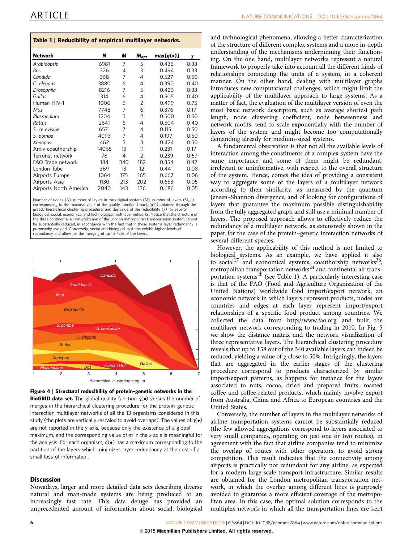<span id="page-5-0"></span>

| Table 1   Reducibility of empirical multilayer networks. |       |                |                  |                   |      |
|----------------------------------------------------------|-------|----------------|------------------|-------------------|------|
| <b>Network</b>                                           | N     | м              | $M_{\text{opt}}$ | $max[q(\bullet)]$ | χ    |
| Arabidopsis                                              | 6981  | $\overline{7}$ | 5                | 0.436             | 0.33 |
| <b>Bos</b>                                               | 326   | 4              | 3                | 0.494             | 0.33 |
| Candida                                                  | 368   | 7              | 4                | 0.527             | 0.50 |
| C. elegans                                               | 3880  | 6              | 4                | 0.390             | 0.40 |
| Drosophila                                               | 8216  | 7              | 5                | 0.426             | 0.33 |
| Gallus                                                   | 314   | 6              | 4                | 0.505             | 0.40 |
| Human HIV-1                                              | 1006  | 5              | $\overline{2}$   | 0.499             | 0.75 |
| Mus                                                      | 7748  | 7              | 6                | 0.376             | 0.17 |
| Plasmodium                                               | 1204  | 3              | $\overline{2}$   | 0.500             | 0.50 |
| Rattus                                                   | 2641  | 6              | 4                | 0.504             | 0.40 |
| S. cerevisiae                                            | 6571  | 7              | 4                | 0.115             | 0.50 |
| S. pombe                                                 | 4093  | 7              | 4                | 0.197             | 0.50 |
| Xenopus                                                  | 462   | 5              | 3                | 0.424             | 0.50 |
| Arxiv coauthorship                                       | 14065 | 13             | 11               | 0.231             | 0.17 |
| Terrorist network                                        | 78    | 4              | $\mathfrak{D}$   | 0.239             | 0.67 |
| FAO Trade network                                        | 184   | 340            | 182              | 0.354             | 0.47 |
| London Tube                                              | 369   | 13             | 12               | 0.441             | 0.08 |
| Airports Europe                                          | 1064  | 175            | 165              | 0.667             | 0.06 |
| Airports Asia                                            | 1130  | 213            | 202              | 0.653             | 0.05 |
| Airports North America                                   | 2040  | 143            | 136              | 0.686             | 0.05 |

Number of nodes (N), number of layers in the original system (M), number of layers ( $M_{\text{opt}}$ ) corresponding to the maximal value of the quality function ( $\text{max}[q(\bullet)]$ ) obtained through the greedy hierarchical clustering procedure, and the value of the reducibility  $\gamma$  for several greedy biological, social, economical and technological multilayer networks. Notice that the structure of the three continental air networks and of the London metropolitan transportation system cannot be substantially reduced, in accordance with the fact that in these systems layer redundancy is purposedly avoided. Conversely, social and biological systems exhibit higher levels of redundancy and allow for the merging of up to 75% of the layers.





### **Discussion**

Nowadays, larger and more detailed data sets describing diverse natural and man-made systems are being produced at an increasingly fast rate. This data deluge has provided an unprecedented amount of information about social, biological

and technological phenomena, allowing a better characterization of the structure of different complex systems and a more in-depth understanding of the mechanisms underpinning their functioning. On the one hand, multilayer networks represent a natural framework to properly take into account all the different kinds of relationships connecting the units of a system, in a coherent manner. On the other hand, dealing with multilayer graphs introduces new computational challenges, which might limit the applicability of the multilayer approach to large systems. As a matter of fact, the evaluation of the multilayer version of even the most basic network descriptors, such as average shortest path length, node clustering coefficient, node betweenness and network motifs, tend to scale exponentially with the number of layers of the system and might become too computationally demanding already for medium-sized systems.

A fundamental observation is that not all the available levels of interaction among the constituents of a complex system have the same importance and some of them might be redundant, irrelevant or uninformative, with respect to the overall structure of the system. Hence, comes the idea of providing a consistent way to aggregate some of the layers of a multilayer network according to their similarity, as measured by the quantum Jensen–Shannon divergence, and of looking for configurations of layers that guarantee the maximum possible distinguishability from the fully aggregated graph and still use a minimal number of layers. The proposed approach allows to effectively reduce the redundancy of a multilayer network, as extensively shown in the paper for the case of the protein–genetic interaction networks of several different species.

However, the applicability of this method is not limited to biological systems. As an example, we have applied it also to social<sup>17</sup> and economical systems, coauthorship networks<sup>36</sup>, metropolitan transportation networks<sup>[24](#page-8-0)</sup> and continental air transportation systems $^{20}$  $^{20}$  $^{20}$  (see Table 1). A particularly interesting case is that of the FAO (Food and Agriculture Organization of the United Nations) worldwide food import/export network, an economic network in which layers represent products, nodes are countries and edges at each layer represent import/export relationships of a specific food product among countries. We collected the data from<http://www.fao.org> and built the multilayer network corresponding to trading in 2010. In [Fig. 5](#page-6-0) we show the distance matrix and the network visualization of three representative layers. The hierarchical clustering procedure reveals that up to 158 out of the 340 available layers can indeed be reduced, yielding a value of  $\chi$  close to 50%. Intriguingly, the layers that are aggregated in the earlier stages of the clustering procedure correspond to products characterized by similar import/export patterns, as happens for instance for the layers associated to nuts, cocoa, dried and prepared fruits, roasted coffee and coffee-related products, which mainly involve export from Australia, China and Africa to European countries and the United States.

Conversely, the number of layers in the multilayer networks of airline transportation systems cannot be substantially reduced (the few allowed aggregations correspond to layers associated to very small companies, operating on just one or two routes), in agreement with the fact that airline companies tend to minimize the overlap of routes with other operators, to avoid strong competition. This result indicates that the connectivity among airports is practically not redundant for any airline, as expected for a modern large-scale transport infrastructure. Similar results are obtained for the London metropolitan transportation network, in which the overlap among different lines is purposely avoided to guarantee a more efficient coverage of the metropolitan area. In this case, the optimal solution corresponds to the multiplex network in which all the transportation lines are kept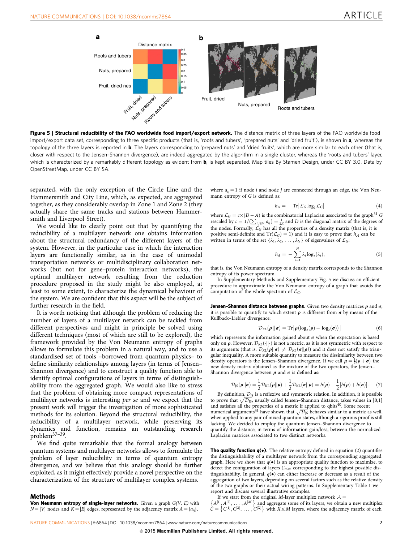<span id="page-6-0"></span>

Figure 5 | Structural reducibility of the FAO worldwide food import/export network. The distance matrix of three layers of the FAO worldwide food import/export data set, corresponding to three specific products (that is, 'roots and tubers', 'prepared nuts' and 'dried fruit'), is shown in a, whereas the topology of the three layers is reported in b. The layers corresponding to 'prepared nuts' and 'dried fruits', which are more similar to each other (that is, closer with respect to the Jensen–Shannon divergence), are indeed aggregated by the algorithm in a single cluster, whereas the 'roots and tubers' layer, which is characterized by a remarkably different topology as evident from b, is kept separated. Map tiles By Stamen Design, under CC BY 3.0. Data by OpenStreetMap, under CC BY SA.

separated, with the only exception of the Circle Line and the Hammersmith and City Line, which, as expected, are aggregated together, as they considerably overlap in Zone 1 and Zone 2 (they actually share the same tracks and stations between Hammersmith and Liverpool Street).

We would like to clearly point out that by quantifying the reducibility of a multilayer network one obtains information about the structural redundancy of the different layers of the system. However, in the particular case in which the interaction layers are functionally similar, as in the case of unimodal transportation networks or multidisciplinary collaboration networks (but not for gene–protein interaction networks), the optimal multilayer network resulting from the reduction procedure proposed in the study might be also employed, at least to some extent, to characterize the dynamical behaviour of the system. We are confident that this aspect will be the subject of further research in the field.

It is worth noticing that although the problem of reducing the number of layers of a multilayer network can be tackled from different perspectives and might in principle be solved using different techniques (most of which are still to be explored), the framework provided by the Von Neumann entropy of graphs allows to formulate this problem in a natural way, and to use a standardised set of tools –borrowed from quantum physics– to define similarity relationships among layers (in terms of Jensen– Shannon divergence) and to construct a quality function able to identify optimal configurations of layers in terms of distinguishability from the aggregated graph. We would also like to stress that the problem of obtaining more compact representations of multilayer networks is interesting per se and we expect that the present work will trigger the investigation of more sophisticated methods for its solution. Beyond the structural reducibility, the reducibility of a multilayer network, while preserving its dynamics and function, remains an outstanding research proble[m37–39.](#page-8-0)

We find quite remarkable that the formal analogy between quantum systems and multilayer networks allows to formulate the problem of layer reducibility in terms of quantum entropy divergence, and we believe that this analogy should be further exploited, as it might effectively provide a novel perspective on the characterization of the structure of multilayer complex systems.

#### Methods

Von Neumann entropy of single-layer networks. Given a graph  $G(V, E)$  with  $N = |V|$  nodes and  $K = |E|$  edges, represented by the adjacency matrix  $A = \{a_{ij}\},$ 

where  $a_{ij} = 1$  if node i and node j are connected through an edge, the Von Neumann entropy of G is defined as:

$$
h_A = -\operatorname{Tr}\left[\mathcal{L}_G \log_2 \mathcal{L}_G\right] \tag{4}
$$

where  $\mathcal{L}_G = c \times (D - A)$  is the combinatorial Laplacian associated to the graph<sup>[31](#page-8-0)</sup> G rescaled by  $c = 1/(\sum_{i,j \in V} a_{ij}) = \frac{1}{2K}$  and D is the diagonal matrix of the degrees of the nodes. Formally,  $\overrightarrow{\mathcal{L}_G}$  has all the properties of a density matrix (that is, it is positive semi-definite and  $Tr(\mathcal{L}_G) = 1$ ) and it is easy to prove that  $h_A$  can be written in terms of the set  $\{\lambda_1, \lambda_2, \ldots, \lambda_N\}$  of eigenvalues of  $\mathcal{L}_G$ :

$$
h_A = -\sum_{i=1}^{N} \lambda_i \log_2(\lambda_i), \qquad (5)
$$

that is, the Von Neumann entropy of a density matrix corresponds to the Shannon entropy of its power spectrum.

In Supplementary Methods and Supplementary Fig. 5 we discuss an efficient procedure to approximate the Von Neumann entropy of a graph that avoids the computation of the whole spectrum of  $\mathcal{L}_G$ .

**Jensen-Shannon distance between graphs.** Given two density matrices  $\rho$  and  $\sigma$ , it is possible to quantify to which extent  $\rho$  is different from  $\sigma$  by means of the Kullback–Liebler divergence:

$$
\mathcal{D}_{KL}(\boldsymbol{\rho}||\boldsymbol{\sigma}) = \mathrm{Tr}[\boldsymbol{\rho}(\log_2(\boldsymbol{\rho}) - \log_2(\boldsymbol{\sigma}))]
$$
(6)

which represents the information gained about  $\sigma$  when the expectation is based only on  $\rho$ . However,  $\mathcal{D}_{KL}(\cdot||\cdot)$  is not a metric, as it is not symmetric with respect to its arguments (that is,  $\mathcal{D}_{KL}(\rho||\sigma) \neq \mathcal{D}_{KL}(\sigma||\rho)$ ) and it does not satisfy the triangular inequality. A more suitable quantity to measure the dissimilarity between two density operators is the Jensen–Shannon divergence. If we call  $\mu = \frac{1}{2}(\rho + \sigma)$  the new density matrix obtained as the mixture of the two operators, the Jensen– Shannon divergence between  $\rho$  and  $\sigma$  is defined as:

$$
\mathcal{D}_{\text{JS}}(\boldsymbol{\rho}||\boldsymbol{\sigma}) = \frac{1}{2}\mathcal{D}_{\text{KL}}(\boldsymbol{\rho}||\boldsymbol{\mu}) + \frac{1}{2}\mathcal{D}_{\text{KL}}(\boldsymbol{\sigma}||\boldsymbol{\mu}) = h(\boldsymbol{\mu}) - \frac{1}{2}[h(\boldsymbol{\rho}) + h(\boldsymbol{\sigma})].\tag{7}
$$

By definition,  $D_{\text{IS}}$  is a reflexive and symmetric relation. In addition, it is possible<br>to prove that  $\sqrt{D_{\text{IS}}}$ , usually called Jensen–Shannon distance, takes values in [0,1]<br>and satisfies all the properties of a m and satisfies an the properties of a metric in applied to quite . Some recent numerical arguments<sup>[41](#page-8-0)</sup> have shown that  $\sqrt{\mathcal{D}_{\text{JS}}}$  behaves similar to a metric as well, when applied to any pair of mixed quantum states, although a rigorous proof is still lacking. We decided to employ the quantum Jensen–Shannon divergence to quantify the distance, in terms of information gain/loss, between the normalized Laplacian matrices associated to two distinct networks.

The quality function  $q(\bullet)$ . The relative entropy defined in equation (2) quantifies the distinguishability of a multilayer network from the corresponding aggregated graph. Here we show that  $q(\bullet)$  is an appropriate quality function to maximize, to detect the configuration of layers  $C_{\text{max}}$  corresponding to the highest possible distinguishability. In general,  $q(\bullet)$  can either increase or decrease as a result of the aggregation of two layers, depending on several factors such as the relative density of the two graphs or their actual wiring patterns. In Supplementary Table 1 we report and discuss several illustrative examples.

#### If we start from the original M-layer multiplex network  $\mathcal{A} =$

 ${A^{[1]}, A^{[2]}, \ldots, A^{[M]}}$  and aggregate some of its layers, we obtain a new multiplex  $\mathcal{C} = \{C^{[1]}, C^{[2]}, \dots, C^{[X]}\}$  with  $X \leq M$  layers, where the adjacency matrix of each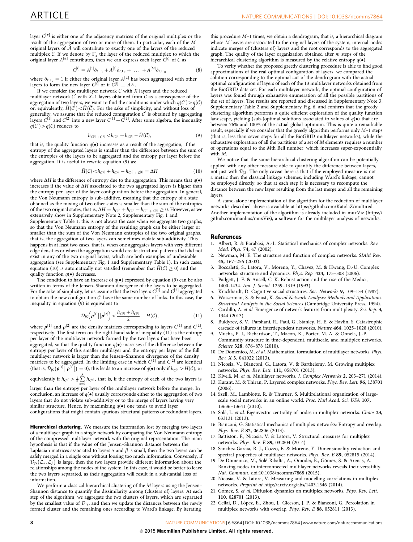<span id="page-7-0"></span>layer  $C^{[\alpha]}$  is either one of the adjacency matrices of the original multiplex or the result of the aggregation of two or more of them. In particular, each of the M original layers of A will contribute to exactly one of the layers of the reduced multiplex C. If we denote by  $\Gamma_{\alpha}$  the layer of the reduced multiplex to which the original layer  $A^{[\alpha]}$  contributes, then we can express each layer  $C^{[\ell]}$  of C as

$$
C^{[\ell]} = A^{[1]} \delta_{\ell, \Gamma_1} + A^{[2]} \delta_{\ell, \Gamma_2} + \ldots + A^{[M]} \delta_{\ell, \Gamma_M}
$$
 (8)

where  $\delta_{\ell,\Gamma_{\tau}} = 1$  if either the original layer  $A^{[\alpha]}$  has been aggregated with other layers to form the new layer  $C^{[\ell]}$  or if  $C^{[\ell]} \, \equiv \, A^{[\alpha]}.$ 

If we consider the multilayer network  $C$  with  $X$  layers and the reduced multilayer network  $C'$  with X-1 layers obtained from  $C$  as a consequence of the aggregation of two layers, we want to find the conditions under which  $q(C') > q(C)$  $\frac{d}{dt}$  or, equivalently,  $\overline{H}(C') < \overline{H}(\overline{C})$ . For the sake of simplicity, and without loss of generality, we assume that the reduced configuration  $\mathcal{C}'$  is obtained by aggregating layers  $C^{[1]}$  and  $C^{[2]}$  into a new layer  $C^{[1]} + C^{[2]}$ . After some algebra, the inequality  $q(\mathcal{C}') > q(\mathcal{C})$  reduces to

$$
h_{C^{[1]}+C^{[2]}} < h_{C^{[1]}} + h_{C^{[2]}} - \bar{H}(\mathcal{C}),\tag{9}
$$

that is, the quality function  $q(\bullet)$  increases as a result of the aggregation, if the entropy of the aggregated layers is smaller than the difference between the sum of the entropies of the layers to be aggregated and the entropy per layer before the aggregation. It is useful to rewrite equation (9) as:

$$
\bar{H}(\mathcal{C}) < h_{\mathcal{C}^{[1]}} + h_{\mathcal{C}^{[2]}} - h_{\mathcal{C}^{[1]} + \mathcal{C}^{[2]}} = \Delta H \tag{10}
$$

where  $\Delta H$  is the difference of entropy due to the aggregation. This means that  $q(\bullet)$ increases if the value of  $\Delta H$  associated to the two aggregated layers is higher than the entropy per layer of the layer configuration before the aggregation. In general, the Von Neumann entropy is sub-additive, meaning that the entropy of a state obtained as the mixing of two other states is smaller than the sum of the entropies of the two original states, that is,  $\Delta H = h_{C^{[1]}} + h_{C^{[2]}} - h_{C^{[1]}+C^{[2]}} \geq 0$ . However, as we  $\frac{d}{dt}$  of the two original states, that is,  $\Delta H = n_{Cl^1} + n_{Cl^2} - n_{Cl^1} + c^{[2]} \geq 0.$  The extensively show in Supplementary Note 2, Supplementary Fig. 1 and

Supplementary Table 1, this is not always the case when we aggregate two graphs, so that the Von Neumann entropy of the resulting graph can be either larger or smaller than the sum of the Von Neumann entropies of the two original graphs, that is, the aggregation of two layers can sometimes violate sub-additivity. This happens in at least two cases, that is, when one aggregates layers with very different edge densities or when the aggregation would create structural patterns that did not exist in any of the two original layers, which are both examples of undesirable aggregation (see Supplementary Fig. 1 and Supplementary Table 1). In such cases, equation (10) is automatically not satisfied (remember that  $\bar{H}(\mathcal{C}) \geq 0$ ) and the quality function  $q(\bullet)$  decreases.

The condition to have an increase of  $q(\bullet)$  expressed by equation (9) can be also written in terms of the Jensen–Shannon divergence of the layers to be aggregated.<br>For the sake of simplicity, let us assume that the two layers C<sup>[1]</sup> and C<sup>[2]</sup> aggregated to obtain the new configuration  $C'$  have the same number of links. In this case, the inequality in equation (9) is equivalent to

$$
\mathcal{D}_{JS}\left(\pmb{\rho}^{[1]}||\pmb{\rho}^{[2]}\right) < \frac{h_{C^{[1]}} + h_{C^{[2]}}}{2} - \bar{H}(\mathcal{C}),\tag{11}
$$

where  $\rho^{[1]}$  and  $\rho^{[2]}$  are the density matrices corresponding to layers  $C^{[1]}$  and  $C^{[2]}$ , respectively. The first term on the right-hand side of inequality (11) is the entropy per layer of the multilayer network formed by the two layers that have been aggregated, so that the quality function  $q(\bullet)$  increases if the difference between the entropy per layer of this smaller multilayer and the entropy per layer of the full multilayer network is larger than the Jensen–Shannon divergence of the density matrices to be aggregated. In the limiting case in which  $C^{[1]}$  and  $C^{[2]}$  are identical that is,  $\mathcal{D}_{\text{JS}}(\rho^{[1]}||\rho^{[2]}|) = 0$ , this leads to an increase of  $q(\bullet)$  only if  $h_{\text{C}}^{[1]} > \bar{H}(C)$ , or

equivalently if  $h_{C^{[1]}} > \frac{1}{X} \sum_{l}^{X} h_{C^{[2]}}$ , that is, if the entropy of each of the two layers is larger than the entropy per layer of the multilayer network before the merge. In

conclusion, an increase of  $q(\bullet)$  usually corresponds either to the aggregation of two layers that do not violate sub-additivity or to the merge of layers having very similar structure. Hence, by maximizing  $q(\bullet)$  one tends to avoid layer configurations that might contain spurious structural patterns or redundant layers.

Hierarchical clustering. We measure the information lost by merging two layers of a multilayer graph in a single network by comparing the Von Neumann entropy of the compressed multilayer network with the original representation. The main hypothesis is that if the value of the Jensen–Shannon distance between the

Laplacian matrices associated to layers  $\alpha$  and  $\beta$  is small, then the two layers can be safely merged in a single one without loosing too much information. Conversely, if  $\mathcal{D}_{\text{JS}}(\mathcal{L}_{\alpha}, \mathcal{L}_{\beta})$  is large, then the two layers provide different information about the relationships among the nodes of the system. In this case, it would be better to leave the two layers separated, as their aggregation will result in a substantial loss of information.

We perform a classical hierarchical clustering of the M layers using the Jensen-Shannon distance to quantify the dissimilarity among (clusters of) layers. At each step of the algorithm, we aggregate the two clusters of layers, which are separated by the smallest value of  $\mathcal{D}_{JS}$ , and then we update the distances between the newly formed cluster and the remaining ones according to Ward's linkage. By iterating

this procedure M–1 times, we obtain a dendrogram, that is, a hierarchical diagram whose *M* leaves are associated to the original layers of the system, internal nodes indicate merges of (clusters of) layers and the root corresponds to the aggregated graph. The quality of the layer organization obtained after *m* steps of the hierarchical clustering algorithm is measured by the relative entropy  $q(\bullet)$ .

To verify whether the proposed greedy clustering procedure is able to find good approximations of the real optimal configuration of layers, we compared the solution corresponding to the optimal cut of the dendrogram with the actual optimal configuration of layers of each of the 13 multilayer networks obtained from the BioGRID data set. For each multilayer network, the optimal configuration of layers was found through exhaustive enumeration of all the possible partitions of the set of layers. The results are reported and discussed in Supplementary Note 3, Supplementary Table 2 and Supplementary Fig. 6, and confirm that the greedy clustering algorithm performs a quite efficient exploration of the quality function landscape, yielding (sub-)optimal solutions associated to values of  $q(\bullet)$  that are between 76% and 100% of the actual global optimum. This is quite a remarkable result, especially if we consider that the greedy algorithm performs only M–1 steps (that is, less than seven steps for all the BioGRID multilayer networks), while the exhaustive exploration of all the partitions of a set of M elements requires a number of operations equal to the Mth Bell number, which increases super-exponentially with M.

We notice that the same hierarchical clustering algorithm can be potentially applied with any other measure able to quantify the difference between layers, not just with  $\mathcal{D}_{\text{IS}}$ . The only caveat here is that if the employed measure is not a metric then the classical linkage schemes, including Ward's linkage, cannot be employed directly, so that at each step it is necessary to recompute the distance between the new layer resulting from the last merge and all the remaining layers.

A stand-alone implementation of the algorithm for the reduction of multilayer networks described above is available at<https://github.com/KatolaZ/multired>. Another implementation of the algorithm is already included in muxViz [\(https://](https://github.com/manlius/muxViz) [github.com/manlius/muxViz\)](https://github.com/manlius/muxViz), a software for the multilayer analysis of networks.

#### **References**

- 1. Albert, R. & Barabási, A.-L. Statistical mechanics of complex networks. Rev. Mod. Phys. 74, 47 (2002).
- Newman, M. E. The structure and function of complex networks. SIAM Rev. 45, 167–256 (2003).
- 3. Boccaletti, S., Latora, V., Moreno, Y., Chavez, M. & Hwang, D.-U. Complex networks: structure and dynamics. Phys. Rep. 424, 175–308 (2006).
- Padgett, J. F. & Ansell, C. K. Robust action and the rise of the Medici, 1400-1434. Am. J. Sociol. 1259–1319 (1993).
- 5. Krackhardt, D. Cognitive social structures. Soc. Networks 9, 109–134 (1987). 6. Wasserman, S. & Faust, K. Social Network Analysis: Methods and Applications.
- Structural Analysis in the Social Sciences (Cambridge University Press, 1994).
- 7. Cardillo, A. et al. Emergence of network features from multiplexity. Sci. Rep. 3, 1344 (2013).
- 8. Buldyrev, S. V., Parshani, R., Paul, G., Stanley, H. E. & Havlin, S. Catastrophic cascade of failures in interdependent networks. Nature 464, 1025–1028 (2010).
- 9. Mucha, P. J., Richardson, T., Macon, K., Porter, M. A. & Onnela, J.-P. Community structure in time-dependent, multiscale, and multiplex networks. Science 328, 876–878 (2010).
- 10. De Domenico, M. et al. Mathematical formulation of multilayer networks. Phys. Rev. X 3, 041022 (2013).
- 11. Nicosia, V., Bianconi, G., Latora, V. & Barthelemy, M. Growing multiplex networks. Phys. Rev. Lett. 111, 058701 (2013).
- 12. Kivelä, M. et al. Multilayer networks. J. Complex Networks 2, 203-271 (2014).
- 13. Kurant, M. & Thiran, P. Layered complex networks. Phys. Rev. Lett. 96, 138701 (2006).
- 14. Szell, M., Lambiotte, R. & Thurner, S. Multirelational organization of largescale social networks in an online world. Proc. Natl Acad. Sci. USA 107, 13636–13641 (2010).
- 15. Solá, L. et al. Eigenvector centrality of nodes in multiplex networks. Chaos 23, 033131 (2013).
- 16. Bianconi, G. Statistical mechanics of multiplex networks: Entropy and overlap. Phys. Rev. E 87, 062806 (2013).
- 17. Battiston, F., Nicosia, V. & Latora, V. Structural measures for multiplex networks. Phys. Rev. E 89, 032804 (2014).
- 18. Sanchez-Garcia, R. J., Cozzo, E. & Moreno, Y. Dimensionality reduction and spectral properties of multilayer networks. Phys. Rev. E 89, 052815 (2014).
- 19. De Domenico, M., Solé-Ribalta, A., Omodei, E., Gómez, S. & Arenas, A. Ranking nodes in interconnected multilayer networks reveals their versatility. Nat. Commun. doi:10.1038/ncomms7868 (2015).
- 20. Nicosia, V. & Latora, V. Measuring and modelling correlations in multiplex networks. Preprint at <http://arxiv.org/abs/1403.1546> (2014).
- Gómez, S. et al. Diffusion dynamics on multiplex networks. Phys. Rev. Lett. 110, 028701 (2013).
- 22. Cellai, D., López, E., Zhou, J., Gleeson, J. P. & Bianconi, G. Percolation in multiplex networks with overlap. Phys. Rev. E 88, 052811 (2013).